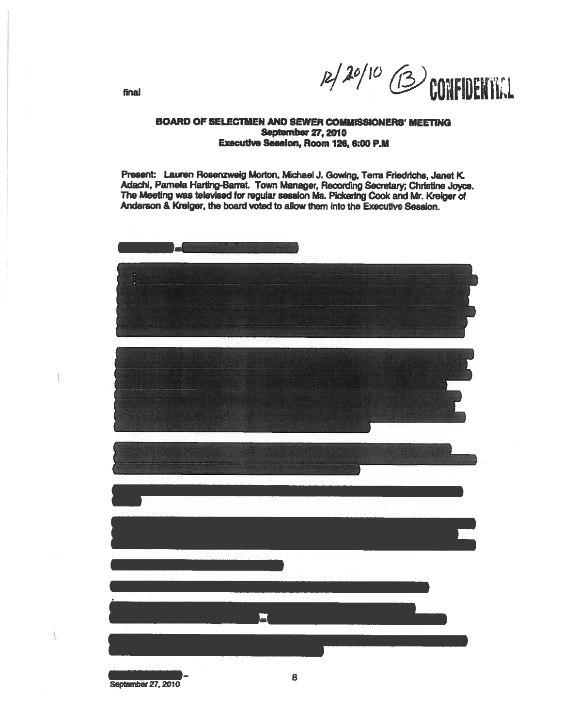

final

## BOARD OF SELECTMEN AND SEWER COMMISSIONERS' MEETING September 27,2010 Executive Session, Room 126, 6:00 P.M

Present: Lauren Rosenzwelg Morton, Michael J. Gowing, Terra Frledriche, Janet <sup>K</sup> Adachi, Pamela Harting-Barrat. Town Manager, Recording Secretary; Christine Joyce. The Meeting was televised for regular session Ms. Pickering Cook and Mr. Krelger of Anderson & Kreiger, the board voted to allow them into the Executive Session.

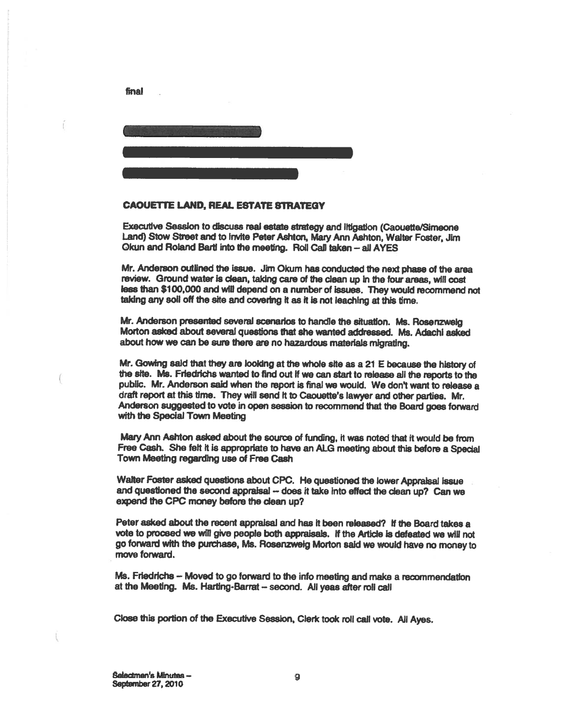

## CAOUETTE LAND, REAL ESTATE STRATEGY

final

Executive Session to discuss real estate strategy and litigation (Caouette/Simeone Land) Stow Street and to Invite Peter Ashton, Mary Ann Ashton, Waiter Foster, Jim Okun and Roland Bartl into the meeting. Roll Call taken - all AYES

Mr. Anderson outlined the issue. Jim Okum has conducted the next <sup>p</sup>hase of the area review. Ground water is clean, taking care of the clean up in the four areas, will cost less than \$100,000 and will depend on <sup>a</sup> nwnber of issues. They would recommend not taking any soll off the site and covering it as it is not leaching at this time.

Mr. Anderson presented several scenarios to handle the situation. Ms. Rosenzweig Morton asked about several questions that she wanted addressed. Ms. Adachi asked about how we can be sure there are no hazardous materials migrating.

Mr. Gowing said that they are looking at the whole site as <sup>a</sup> <sup>21</sup> <sup>E</sup> because the history of the site. Ms. Friedricha wanted to find out It we can start to release all the reports to the public. Mr. Anderson said when the repor<sup>t</sup> is final we would. We don't want to release <sup>a</sup> draft report at this time. They will send it to Caouette's lawyer and other parties. Mr. Anderson suggested to vote in open session to recommend that the Board goes forward with the Special Town Meeting

Mary Ann Ashton asked about the source of funding, it was noted that it would be from Free Cash. She felt it is appropriate to have an ALG meeting about this before a Special Town Meeting regarding use of Free Cash

Walter Foster asked questions about CPC. He questioned the lower Appraisal issue and questioned the second appraisal -- does it take into effect the clean up? Can we expend the CPC money before the clean up?

Peter asked about the recent appraisal and has It been released? If the Board takes <sup>a</sup> vote to proceed we will give people both appraisals. If the Article is defeated we will not go forward with the purchase, Ms. Rosenzweig Morton said we would have no money to move forward.

Ms. Friedriche — Moved to go forward to the info meeting and make <sup>a</sup> recommendation at the Meeting. Ms. Harting-Barrat - second. All yeas after roll call

Close this portion of the Executive Session, Clerk took roll call vote, All Ayes.